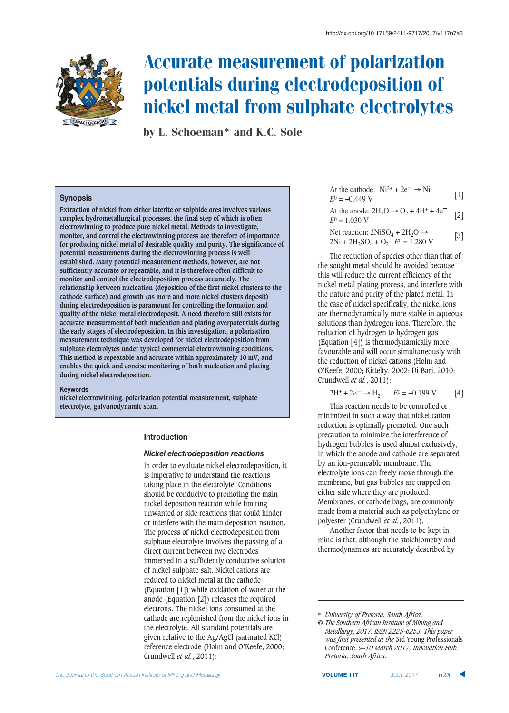

# Accurate measurement of polarization potentials during electrodeposition of nickel metal from sulphate electrolytes

by L. Schoeman\* and K.C. Sole

## **Synopsis**

**Extraction of nickel from either laterite or sulphide ores involves various complex hydrometallurgical processes, the final step of which is often electrowinning to produce pure nickel metal. Methods to investigate, monitor, and control the electrowinning process are therefore of importance for producing nickel metal of desirable quality and purity. The significance of potential measurements during the electrowinning process is well established. Many potential measurement methods, however, are not sufficiently accurate or repeatable, and it is therefore often difficult to monitor and control the electrodeposition process accurately. The relationship between nucleation (deposition of the first nickel clusters to the cathode surface) and growth (as more and more nickel clusters deposit) during electrodeposition is paramount for controlling the formation and quality of the nickel metal electrodeposit. A need therefore still exists for accurate measurement of both nucleation and plating overpotentials during the early stages of electrodeposition. In this investigation, a polarization measurement technique was developed for nickel electrodeposition from sulphate electrolytes under typical commercial electrowinning conditions. This method is repeatable and accurate within approximately 10 mV, and enables the quick and concise monitoring of both nucleation and plating during nickel electrodeposition.**

#### **Keywords**

**nickel electrowinning, polarization potential measurement, sulphate electrolyte, galvanodynamic scan.**

#### **Introduction**

## Nickel electrodeposition reactions

In order to evaluate nickel electrodeposition, it is imperative to understand the reactions taking place in the electrolyte. Conditions should be conducive to promoting the main nickel deposition reaction while limiting unwanted or side reactions that could hinder or interfere with the main deposition reaction. The process of nickel electrodeposition from sulphate electrolyte involves the passing of a direct current between two electrodes immersed in a sufficiently conductive solution of nickel sulphate salt. Nickel cations are reduced to nickel metal at the cathode (Equation [1]) while oxidation of water at the anode (Equation [2]) releases the required electrons. The nickel ions consumed at the cathode are replenished from the nickel ions in the electrolyte. All standard potentials are given relative to the Ag/AgCl (saturated KCl) reference electrode (Holm and O'Keefe, 2000; Crundwell *et al.*, 2011):

At the cathode: Ni<sup>2+</sup> + 2e<sup>-</sup> 
$$
\rightarrow
$$
 Ni [1]  
 $E^0 = -0.449$  V

At the anode: 
$$
2H_2O \rightarrow O_2 + 4H^+ + 4e^-
$$
 [2]  
 $E^0 = 1.030$  V

Net reaction:  $2NiSO<sub>4</sub> + 2H<sub>2</sub>O \rightarrow$ 

Net reaction:  $2N1SO_4 + 2H_2O \rightarrow$  [3]<br>  $2Ni + 2H_2SO_4 + O_2$  *E*<sup>0</sup> = 1.280 V

The reduction of species other than that of the sought metal should be avoided because this will reduce the current efficiency of the nickel metal plating process, and interfere with the nature and purity of the plated metal. In the case of nickel specifically, the nickel ions are thermodynamically more stable in aqueous solutions than hydrogen ions. Therefore, the reduction of hydrogen to hydrogen gas (Equation [4]) is thermodynamically more favourable and will occur simultaneously with the reduction of nickel cations (Holm and O'Keefe, 2000; Kittelty, 2002; Di Bari, 2010; Crundwell *et al.*, 2011):

$$
2H^{+} + 2e^{-} \rightarrow H_{2} \qquad E^{0} = -0.199 \text{ V} \tag{4}
$$

This reaction needs to be controlled or minimized in such a way that nickel cation reduction is optimally promoted. One such precaution to minimize the interference of hydrogen bubbles is used almost exclusively, in which the anode and cathode are separated by an ion-permeable membrane. The electrolyte ions can freely move through the membrane, but gas bubbles are trapped on either side where they are produced. Membranes, or cathode bags, are commonly made from a material such as polyethylene or polyester (Crundwell *et al.*, 2011).

Another factor that needs to be kept in mind is that, although the stoichiometry and thermodynamics are accurately described by

\* *University of Pretoria, South Africa.*

*<sup>©</sup> The Southern African Institute of Mining and Metallurgy, 2017. ISSN 2225-6253. This paper was first presented at the* 3rd Young Professionals Conference, *9–10 March 2017, Innovation Hub, Pretoria, South Africa.*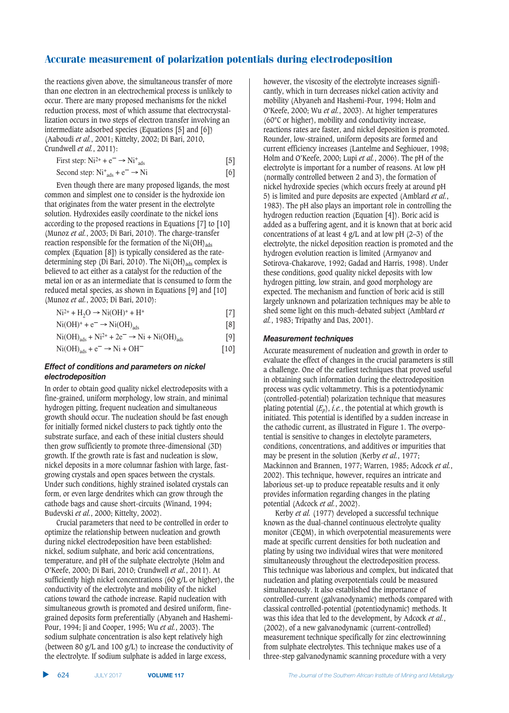the reactions given above, the simultaneous transfer of more than one electron in an electrochemical process is unlikely to occur. There are many proposed mechanisms for the nickel reduction process, most of which assume that electrocrystallization occurs in two steps of electron transfer involving an intermediate adsorbed species (Equations [5] and [6]) (Aaboudi *et al.*, 2001; Kittelty, 2002; Di Bari, 2010, Crundwell *et al.*, 2011):

First step: Ni<sup>2+</sup> + e<sup>-</sup> 
$$
\rightarrow
$$
 Ni<sup>+</sup><sub>ads</sub> [5]  
Second step: Ni<sup>+</sup><sub>ads</sub> + e<sup>-</sup>  $\rightarrow$  Ni [6]

Even though there are many proposed ligands, the most common and simplest one to consider is the hydroxide ion that originates from the water present in the electrolyte solution. Hydroxides easily coordinate to the nickel ions according to the proposed reactions in Equations [7] to [10] (Munoz *et al.*, 2003; Di Bari, 2010). The charge-transfer reaction responsible for the formation of the  $Ni(OH)_{ads}$ complex (Equation [8]) is typically considered as the ratedetermining step (Di Bari, 2010). The Ni(OH)<sub>ads</sub> complex is believed to act either as a catalyst for the reduction of the metal ion or as an intermediate that is consumed to form the reduced metal species, as shown in Equations [9] and [10] (Munoz *et al.*, 2003; Di Bari, 2010):

| $Ni^{2+} + H_2O \rightarrow Ni(OH)^+ + H^+$ |  |
|---------------------------------------------|--|
|---------------------------------------------|--|

$$
Ni(OH)^{+} + e^{-} \rightarrow Ni(OH)_{ads}
$$
\n
$$
Ni(OH)_{ads} + Ni^{2+} + 2e^{-} \rightarrow Ni + Ni(OH)_{ads}
$$
\n
$$
[9]
$$
\n
$$
Ni(OH)_{ads} + e^{-} \rightarrow Ni + OH^{-}
$$
\n
$$
[10]
$$

## Effect of conditions and parameters on nickel electrodeposition

In order to obtain good quality nickel electrodeposits with a fine-grained, uniform morphology, low strain, and minimal hydrogen pitting, frequent nucleation and simultaneous growth should occur. The nucleation should be fast enough for initially formed nickel clusters to pack tightly onto the substrate surface, and each of these initial clusters should then grow sufficiently to promote three-dimensional (3D) growth. If the growth rate is fast and nucleation is slow, nickel deposits in a more columnar fashion with large, fastgrowing crystals and open spaces between the crystals. Under such conditions, highly strained isolated crystals can form, or even large dendrites which can grow through the cathode bags and cause short-circuits (Winand, 1994; Budevski *et al.*, 2000; Kittelty, 2002).

Crucial parameters that need to be controlled in order to optimize the relationship between nucleation and growth during nickel electrodeposition have been established: nickel, sodium sulphate, and boric acid concentrations, temperature, and pH of the sulphate electrolyte (Holm and O'Keefe, 2000; Di Bari, 2010; Crundwell *et al.*, 2011). At sufficiently high nickel concentrations (60 g/L or higher), the conductivity of the electrolyte and mobility of the nickel cations toward the cathode increase. Rapid nucleation with simultaneous growth is promoted and desired uniform, finegrained deposits form preferentially (Abyaneh and Hashemi-Pour, 1994; Ji and Cooper, 1995; Wu *et al.*, 2003). The sodium sulphate concentration is also kept relatively high (between 80 g/L and 100 g/L) to increase the conductivity of the electrolyte. If sodium sulphate is added in large excess,

however, the viscosity of the electrolyte increases significantly, which in turn decreases nickel cation activity and mobility (Abyaneh and Hashemi-Pour, 1994; Holm and O'Keefe, 2000; Wu *et al.*, 2003). At higher temperatures (60°C or higher), mobility and conductivity increase, reactions rates are faster, and nickel deposition is promoted. Rounder, low-strained, uniform deposits are formed and current efficiency increases (Lantelme and Seghiouer, 1998; Holm and O'Keefe, 2000; Lupi *et al.*, 2006). The pH of the electrolyte is important for a number of reasons. At low pH (normally controlled between 2 and 3), the formation of nickel hydroxide species (which occurs freely at around pH 5) is limited and pure deposits are expected (Amblard *et al.*, 1983). The pH also plays an important role in controlling the hydrogen reduction reaction (Equation [4]). Boric acid is added as a buffering agent, and it is known that at boric acid concentrations of at least 4 g/L and at low pH (2–3) of the electrolyte, the nickel deposition reaction is promoted and the hydrogen evolution reaction is limited (Armyanov and Sotirova-Chakarove, 1992; Gadad and Harris, 1998). Under these conditions, good quality nickel deposits with low hydrogen pitting, low strain, and good morphology are expected. The mechanism and function of boric acid is still largely unknown and polarization techniques may be able to shed some light on this much-debated subject (Amblard *et al.*, 1983; Tripathy and Das, 2001).

## **Measurement techniques**

Accurate measurement of nucleation and growth in order to evaluate the effect of changes in the crucial parameters is still a challenge. One of the earliest techniques that proved useful in obtaining such information during the electrodeposition process was cyclic voltammetry. This is a potentiodynamic (controlled-potential) polarization technique that measures plating potential  $(E_p)$ , *i.e.*, the potential at which growth is initiated. This potential is identified by a sudden increase in the cathodic current, as illustrated in Figure 1. The overpotential is sensitive to changes in electolyte parameters, conditions, concentrations, and additives or impurities that may be present in the solution (Kerby *et al.*, 1977; Mackinnon and Brannen, 1977; Warren, 1985; Adcock *et al.*, 2002). This technique, however, requires an intricate and laborious set-up to produce repeatable results and it only provides information regarding changes in the plating potential (Adcock *et al.*, 2002).

Kerby *et al.* (1977) developed a successful technique known as the dual-channel continuous electrolyte quality monitor (CEQM), in which overpotential measurements were made at specific current densities for both nucleation and plating by using two individual wires that were monitored simultaneously throughout the electrodeposition process. This technique was laborious and complex, but indicated that nucleation and plating overpotentials could be measured simultaneously. It also established the importance of controlled-current (galvanodynamic) methods compared with classical controlled-potential (potentiodynamic) methods. It was this idea that led to the development, by Adcock *et al.*, (2002), of a new galvanodynamic (current-controlled) measurement technique specifically for zinc electrowinning from sulphate electrolytes. This technique makes use of a three-step galvanodynamic scanning procedure with a very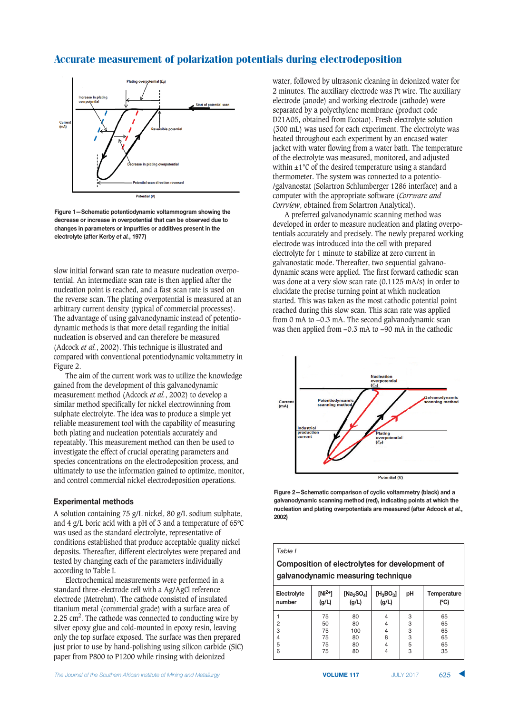

**Figure 1-Schematic potentiodynamic voltammogram showing the 3=69=;4= :9 8769=;4= 87 :\*=9/:<=7<8;5 <1;< 6;7 (= :(4=9\*=3 3.= <: 61 changes in parameters or impurities or additives present in the** electrolyte (after Kerby *et al.*, 1977)

slow initial forward scan rate to measure nucleation overpotential. An intermediate scan rate is then applied after the nucleation point is reached, and a fast scan rate is used on the reverse scan. The plating overpotential is measured at an arbitrary current density (typical of commercial processes). The advantage of using galvanodynamic instead of potentiodynamic methods is that more detail regarding the initial nucleation is observed and can therefore be measured (Adcock *et al.*, 2002). This technique is illustrated and compared with conventional potentiodynamic voltammetry in Figure 2.

The aim of the current work was to utilize the knowledge gained from the development of this galvanodynamic measurement method (Adcock *et al.*, 2002) to develop a similar method specifically for nickel electrowinning from sulphate electrolyte. The idea was to produce a simple yet reliable measurement tool with the capability of measuring both plating and nucleation potentials accurately and repeatably. This measurement method can then be used to investigate the effect of crucial operating parameters and species concentrations on the electrodeposition process, and ultimately to use the information gained to optimize, monitor, and control commercial nickel electrodeposition operations.

#### **Experimental methods**

A solution containing 75 g/L nickel, 80 g/L sodium sulphate, and 4 g/L boric acid with a pH of 3 and a temperature of 65ºC was used as the standard electrolyte, representative of conditions established that produce acceptable quality nickel deposits. Thereafter, different electrolytes were prepared and tested by changing each of the parameters individually according to Table I.

Electrochemical measurements were performed in a standard three-electrode cell with a Ag/AgCl reference electrode (Metrohm). The cathode consisted of insulated titanium metal (commercial grade) with a surface area of 2.25  $\text{cm}^2$ . The cathode was connected to conducting wire by silver epoxy glue and cold-mounted in epoxy resin, leaving only the top surface exposed. The surface was then prepared just prior to use by hand-polishing using silicon carbide (SiC) paper from P800 to P1200 while rinsing with deionized

water, followed by ultrasonic cleaning in deionized water for 2 minutes. The auxiliary electrode was Pt wire. The auxiliary electrode (anode) and working electrode (cathode) were separated by a polyethylene membrane (product code D21A05, obtained from Ecotao). Fresh electrolyte solution (300 mL) was used for each experiment. The electrolyte was heated throughout each experiment by an encased water jacket with water flowing from a water bath. The temperature of the electrolyte was measured, monitored, and adjusted within ±1°C of the desired temperature using a standard thermometer. The system was connected to a potentio- /galvanostat (Solartron Schlumberger 1286 interface) and a computer with the appropriate software (*Corrware and Corrview*, obtained from Solartron Analytical).

A preferred galvanodynamic scanning method was developed in order to measure nucleation and plating overpotentials accurately and precisely. The newly prepared working electrode was introduced into the cell with prepared electrolyte for 1 minute to stabilize at zero current in galvanostatic mode. Thereafter, two sequential galvanodynamic scans were applied. The first forward cathodic scan was done at a very slow scan rate (0.1125 mA/s) in order to elucidate the precise turning point at which nucleation started. This was taken as the most cathodic potential point reached during this slow scan. This scan rate was applied from 0 mA to −0.3 mA. The second galvanodynamic scan was then applied from −0.3 mA to −90 mA in the cathodic



**Figure 2–Schematic comparison of cyclic voltammetry (black) and a galvanodynamic scanning method (red), indicating points at which the 7.65 <b>hucleation and plating overpotentials are measured (after Adcock et al., %%,**

#### *Table I*

**Composition of electrolytes for development of galvanodynamic measuring technique** 

| Electrolyte<br>number | [Ni <sup>2+</sup> ]<br>(g/L) | [ $Na2SO4$ ]<br>(g/L) | $[H_3BO_3]$<br>(g/L) | pH | Temperature<br>(C) |  |  |
|-----------------------|------------------------------|-----------------------|----------------------|----|--------------------|--|--|
|                       | 75                           | 80                    | 4                    | 3  | 65                 |  |  |
| 2                     | 50                           | 80                    | $\overline{4}$       | 3  | 65                 |  |  |
| 3                     | 75                           | 100                   | $\overline{4}$       | 3  | 65                 |  |  |
| 4                     | 75                           | 80                    | 8                    | 3  | 65                 |  |  |
| 5                     | 75                           | 80                    | 4                    | 5  | 65                 |  |  |
| 6                     | 75                           | 80                    | 4                    | 3  | 35                 |  |  |

625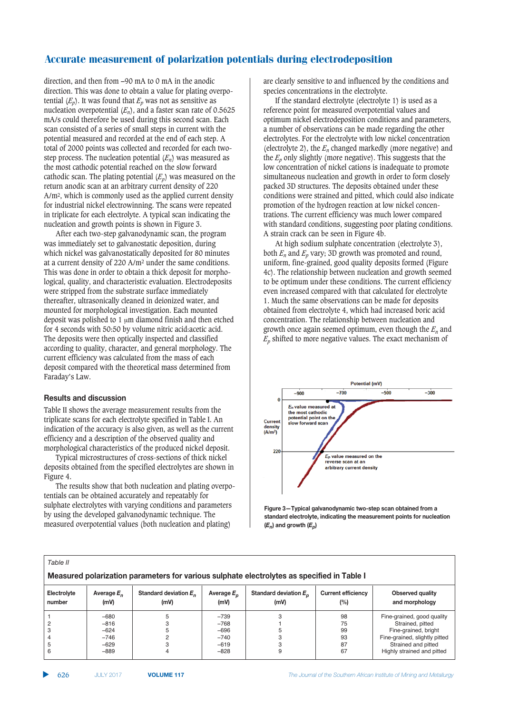direction, and then from −90 mA to 0 mA in the anodic direction. This was done to obtain a value for plating overpotential  $(E_p)$ . It was found that  $E_p$  was not as sensitive as nucleation overpotential  $(E_n)$ , and a faster scan rate of 0.5625 mA/s could therefore be used during this second scan. Each scan consisted of a series of small steps in current with the potential measured and recorded at the end of each step. A total of 2000 points was collected and recorded for each twostep process. The nucleation potential  $(E_n)$  was measured as the most cathodic potential reached on the slow forward cathodic scan. The plating potential  $(E_p)$  was measured on the return anodic scan at an arbitrary current density of 220 A/m2, which is commonly used as the applied current density for industrial nickel electrowinning. The scans were repeated in triplicate for each electrolyte. A typical scan indicating the nucleation and growth points is shown in Figure 3.

After each two-step galvanodynamic scan, the program was immediately set to galvanostatic deposition, during which nickel was galvanostatically deposited for 80 minutes at a current density of 220 A/m2 under the same conditions. This was done in order to obtain a thick deposit for morphological, quality, and characteristic evaluation. Electrodeposits were stripped from the substrate surface immediately thereafter, ultrasonically cleaned in deionized water, and mounted for morphological investigation. Each mounted deposit was polished to 1  $\mu$ m diamond finish and then etched for 4 seconds with 50:50 by volume nitric acid:acetic acid. The deposits were then optically inspected and classified according to quality, character, and general morphology. The current efficiency was calculated from the mass of each deposit compared with the theoretical mass determined from Faraday's Law.

## $Results$  and discussion

Table II shows the average measurement results from the triplicate scans for each electrolyte specified in Table I. An indication of the accuracy is also given, as well as the current efficiency and a description of the observed quality and morphological characteristics of the produced nickel deposit.

Typical microstructures of cross-sections of thick nickel deposits obtained from the specified electrolytes are shown in Figure 4.

The results show that both nucleation and plating overpotentials can be obtained accurately and repeatably for sulphate electrolytes with varying conditions and parameters by using the developed galvanodynamic technique. The measured overpotential values (both nucleation and plating)

are clearly sensitive to and influenced by the conditions and species concentrations in the electrolyte.

If the standard electrolyte (electrolyte 1) is used as a reference point for measured overpotential values and optimum nickel electrodeposition conditions and parameters, a number of observations can be made regarding the other electrolytes. For the electrolyte with low nickel concentration (electrolyte 2), the  $E_n$  changed markedly (more negative) and the  $E_p$  only slightly (more negative). This suggests that the low concentration of nickel cations is inadequate to promote simultaneous nucleation and growth in order to form closely packed 3D structures. The deposits obtained under these conditions were strained and pitted, which could also indicate promotion of the hydrogen reaction at low nickel concentrations. The current efficiency was much lower compared with standard conditions, suggesting poor plating conditions. A strain crack can be seen in Figure 4b.

At high sodium sulphate concentration (electrolyte 3), both  $E_n$  and  $E_n$  vary; 3D growth was promoted and round, uniform, fine-grained, good quality deposits formed (Figure 4c). The relationship between nucleation and growth seemed to be optimum under these conditions. The current efficiency even increased compared with that calculated for electrolyte 1. Much the same observations can be made for deposits obtained from electrolyte 4, which had increased boric acid concentration. The relationship between nucleation and growth once again seemed optimum, even though the  $E_n$  and  $E_p$  shifted to more negative values. The exact mechanism of



**Figure 3–Typical galvanodynamic two-step scan obtained from a**  $*$ *standard electrolyte, indicating the measurement points for nucleation*  $(E_n)$  and growth  $(E_n)$ 

| Table II                                                                                   |                       |                                  |                       |                                  |                                     |                                    |  |  |
|--------------------------------------------------------------------------------------------|-----------------------|----------------------------------|-----------------------|----------------------------------|-------------------------------------|------------------------------------|--|--|
| Measured polarization parameters for various sulphate electrolytes as specified in Table I |                       |                                  |                       |                                  |                                     |                                    |  |  |
| Electrolyte<br>number                                                                      | Average $E_n$<br>(mV) | Standard deviation $E_n$<br>(mV) | Average $E_n$<br>(mV) | Standard deviation $E_n$<br>(mV) | <b>Current efficiency</b><br>$(\%)$ | Observed quality<br>and morphology |  |  |
|                                                                                            | $-680$                |                                  | $-739$                |                                  | 98                                  | Fine-grained, good quality         |  |  |
|                                                                                            | $-816$                |                                  | $-768$                |                                  | 75                                  | Strained, pitted                   |  |  |
|                                                                                            | $-624$                |                                  | $-696$                |                                  | 99                                  | Fine-grained, bright               |  |  |
|                                                                                            | $-746$                |                                  | $-740$                |                                  | 93                                  | Fine-grained, slightly pitted      |  |  |
| 5                                                                                          | $-629$                |                                  | $-619$                |                                  | 87                                  | Strained and pitted                |  |  |
| 6                                                                                          | $-889$                |                                  | $-828$                |                                  | 67                                  | Highly strained and pitted         |  |  |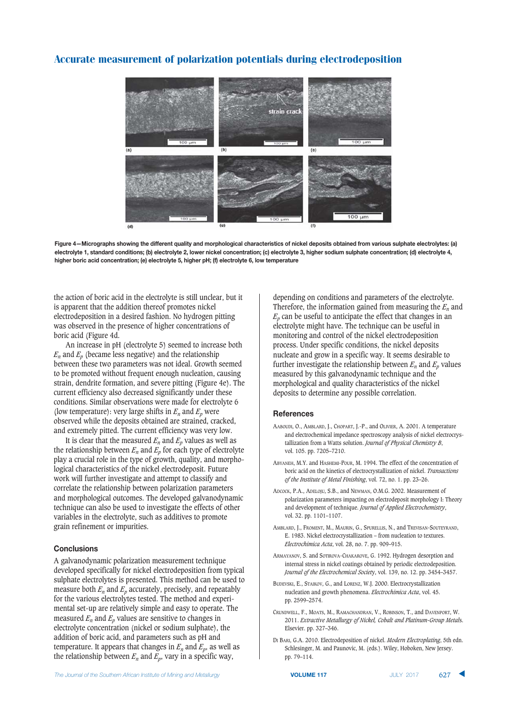



the action of boric acid in the electrolyte is still unclear, but it is apparent that the addition thereof promotes nickel electrodeposition in a desired fashion. No hydrogen pitting was observed in the presence of higher concentrations of boric acid (Figure 4d.

An increase in pH (electrolyte 5) seemed to increase both  $E_n$  and  $E_p$  (became less negative) and the relationship between these two parameters was not ideal. Growth seemed to be promoted without frequent enough nucleation, causing strain, dendrite formation, and severe pitting (Figure 4e). The current efficiency also decreased significantly under these conditions. Similar observations were made for electrolyte 6 (low temperature): very large shifts in  $E_n$  and  $E_p$  were observed while the deposits obtained are strained, cracked, and extremely pitted. The current efficiency was very low.

It is clear that the measured  $E_n$  and  $E_p$  values as well as the relationship between  $E_n$  and  $E_p$  for each type of electrolyte play a crucial role in the type of growth, quality, and morphological characteristics of the nickel electrodeposit. Future work will further investigate and attempt to classify and correlate the relationship between polarization parameters and morphological outcomes. The developed galvanodynamic technique can also be used to investigate the effects of other variables in the electrolyte, such as additives to promote grain refinement or impurities.

## **Conclusions**

A galvanodynamic polarization measurement technique developed specifically for nickel electrodeposition from typical sulphate electrolytes is presented. This method can be used to measure both  $E_n$  and  $E_n$  accurately, precisely, and repeatably for the various electrolytes tested. The method and experimental set-up are relatively simple and easy to operate. The measured  $E_n$  and  $E_n$  values are sensitive to changes in electrolyte concentration (nickel or sodium sulphate), the addition of boric acid, and parameters such as pH and temperature. It appears that changes in  $E_n$  and  $E_p$ , as well as the relationship between  $E_n$  and  $E_p$ , vary in a specific way,

depending on conditions and parameters of the electrolyte. Therefore, the information gained from measuring the *En* and  $E<sub>p</sub>$  can be useful to anticipate the effect that changes in an electrolyte might have. The technique can be useful in monitoring and control of the nickel electrodeposition process. Under specific conditions, the nickel deposits nucleate and grow in a specific way. It seems desirable to further investigate the relationship between  $E_n$  and  $E_p$  values measured by this galvanodynamic technique and the morphological and quality characteristics of the nickel deposits to determine any possible correlation.

#### $References$

- AABOUDI, O., AMBLARD, J., CHOPART, J.-P., and OLIVIER, A. 2001. A temperature and electrochemical impedance spectroscopy analysis of nickel electrocrystallization from a Watts solution. *Journal of Physical Chemistry B*, vol. 105. pp. 7205–7210.
- ABYANEH, M.Y. and HASHEMI-POUR, M. 1994. The effect of the concentration of boric acid on the kinetics of electrocrystallization of nickel. *Transactions of the Institute of Metal Finishing*, vol. 72, no. 1. pp. 23–26.
- ADCOCK, P.A., ADELOJU, S.B., and NEWMAN, O.M.G. 2002. Measurement of polarization parameters impacting on electrodeposit morphology I: Theory and development of technique. *Journal of Applied Electrochemistry*, vol. 32. pp. 1101–1107.
- AMBLARD, J., FROMENT, M., MAURIN, G., SPURELLIS, N., and TREVISAN-SOUTEYRAND, E. 1983. Nickel electrocrystallization – from nucleation to textures. *Electrochimica Acta*, vol. 28, no. 7. pp. 909–915.
- ARMAYANOV, S. and SOTIROVA-CHAKAROVE, G. 1992. Hydrogen desorption and internal stress in nickel coatings obtained by periodic electrodeposition. *Journal of the Electrochemical Societ*y, vol. 139, no. 12. pp. 3454–3457.
- BUDEVSKI, E., STAIKOV, G., and LORENZ, W.J. 2000. Electrocrystallization nucleation and growth phenomena. *Electrochimica Acta*, vol. 45. pp. 2599–2574.
- CRUNDWELL, F., MOATS, M., RAMACHANDRAN, V., ROBINSON, T., and DAVENPORT, W. 2011. *Extractive Metallurgy of Nickel, Cobalt and Platinum-Group Metal*s. Elsevier. pp. 327–346.
- DI BARI, G.A. 2010. Electrodeposition of nickel. *Modern Electroplating*, 5th edn. Schlesinger, M. and Paunovic, M. (eds.). Wiley, Hoboken, New Jersey. pp. 79–114.